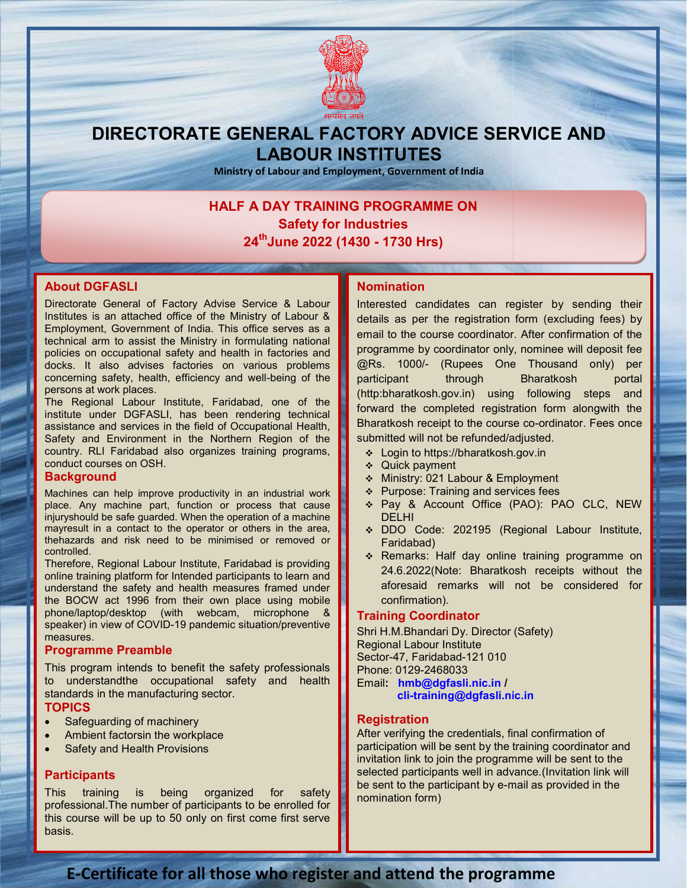

# DIRECTORATE GENERAL FACTORY ADVICE SERVICE AND LABOUR INSTITUTES

Ministry of Labour and Employment, Government of India

# HALF A DAY TRAINING PROGRAMME ON PROGRAMME ON Safety for Industries 24<sup>th</sup>June 2022 (1430 - 1730 Hrs)

#### About DGFASLI

Directorate General of Factory Advise Service & Labour Institutes is an attached office of the Ministry of Labour & Employment, Government of India. This office serves as a technical arm to assist the Ministry in formulating national policies on occupational safety and health in factories and docks. It also advises factories on various problems docks. It also advises factories on various problems<br>concerning safety, health, efficiency and well-being of the persons at work places. office of the Ministry of Labour &<br>It of India. This office serves as a<br>ne Ministry in formulating national<br>safety and health in factories and of Factory Advise Service & Labour<br>
Interested can<br>
meant of India. This office serves as a density of Labour &<br>
details as per<br>
sist the Ministry in formulating national<br>
sist the Ministry in formulating national<br>
sist co

The Regional Labour Institute, Faridabad, one of the institute under DGFASLI, has been rendering technical assistance and services in the field of Occupational Health, Safety and Environment in the Northern Region of the country. RLI Faridabad also organizes training programs, conduct courses on OSH. institute under DGFASLI, has been rendering te<br>assistance and services in the field of Occupational<br>Safety and Environment in the Northern Region<br>country. RLI Faridabad also organizes training pro

#### **Background**

Machines can help improve productivity in an industrial work place. Any machine part, function or process that cause injuryshould be safe guarded. When the operation of a machine mayresult in a contact to the operator or others in the area, thehazards and risk need to be minimised or removed or controlled. place. Any machine part, function or process that cause<br>injuryshould be safe guarded. When the operation of a machine<br>mayresult in a contact to the operator or others in the area,<br>thehazards and risk need to be minimised o

Therefore, Regional Labour Institute, Faridabad is providing online training platform for Intended participants to learn and understand the safety and health measures framed under the BOCW act 1996 from their own place using mobile phone/laptop/desktop (with webcam, microphone & speaker) in view of COVID-19 pandemic situation/preventive measures. herefore, Regional Labour Institute, Faridabad is providentien<br>nine training platform for Intended participants to learn<br>nderstand the safety and health measures framed ur<br>ne BOCW act 1996 from their own place using mo<br>hon

#### Programme Preamble

This program intends to benefit the safety professionals to understandthe occupational safety and health standards in the manufacturing sector. **TOPICS** tends to benefit the safety professionals<br>he occupational safety and health<br>manufacturing sector.<br>g of machinery<br>lorsin the workplace<br>lealth Provisions<br>is being organized for safety

- Safeguarding of machinery
- Ambient factorsin the workplace
- Safety and Health Provisions

#### **Participants**

This training is being organized for professional. The number of participants to be enrolled for this course will be up to 50 only on first come first serve basis.

Interested candidates can register by sending their details as per the registration form (excluding fees) by email to the course coordinator. After confirmation of the programme by coordinator only, nominee will deposit fee @Rs. 1000/- (Rupees One Thousand only) per participant through Bharatkosh portal (http:bharatkosh.gov.in) using following steps and forward the completed registration form alongwith the Bharatkosh receipt to the course co-ordinator. Fees once submitted will not be refunded/adjusted. sted candidates can register by sending their<br>is as per the registration form (excluding fees) by<br>to the course coordinator. After confirmation of the<br>imme by coordinator only, nominee will deposit fee<br>1000/- (Rupees One T participant through Bharatkosh portal<br>
(http:bharatkosh.gov.in) using following steps and<br>
forward the completed registration form alongwith the<br>
Bharatkosh receipt to the course co-ordinator. Fees once

- Login to https://bharatkosh.gov.in
- ❖ Quick payment
- Ministry: 021 Labour & Employment
- ❖ Purpose: Training and services fees
- Pay & Account Office (PAO): PAO CLC, NEW DELHI
- DDO Code: 202195 (Regional Labour Institute, Faridabad)
- \* Remarks: Half day online training programme on 24.6.2022(Note: Bharatkosh receipts without the aforesaid remarks will not be considered for confirmation). nitted will not be refunded/adjusted.<br>
Login to https://bharatkosh.gov.in<br>
Quick payment<br>
Ministry: 021 Labour & Employment<br>
Purpose: Training and services fees<br>
Pay & Account Office (PAO): PAO CLC, NEW<br>
DELHI<br>
DDO Code: 2

#### Training Coordinator

Shri H.M.Bhandari Dy. Director (Safety) Regional Labour Institute Sector-47, Faridabad-121 010 Phone: 0129-2468033 Email: hmb@dgfasli.nic.in / cli-training@dgfasli.nic.in training@dgfasli.nic.in

#### **Registration**

After verifying the credentials, final confirmation of After verifying the credentials, final confirmation of<br>participation will be sent by the training coordinator and invitation link to join the programme will be sent to the invitation link to join the programme will be sent to the<br>selected participants well in advance.(Invitation link will be sent to the participant by e-mail as provided in the nomination form)

## E-Certificate for all those who register and attend the programme